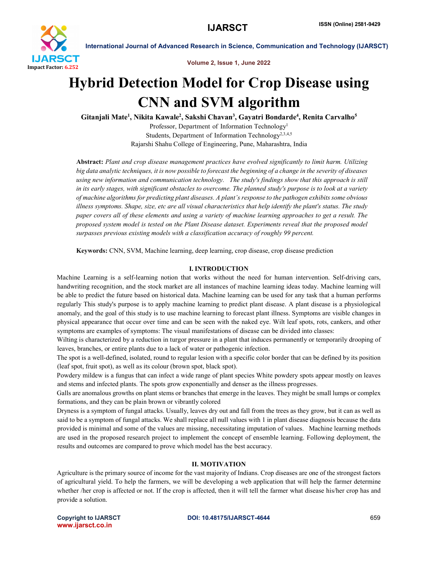

Volume 2, Issue 1, June 2022

## Hybrid Detection Model for Crop Disease using CNN and SVM algorithm

Gitanjali Mate<sup>1</sup>, Nikita Kawale<sup>2</sup>, Sakshi Chavan<sup>3</sup>, Gayatri Bondarde<sup>4</sup>, Renita Carvalho<sup>5</sup>

Professor, Department of Information Technology<sup>1</sup> Students, Department of Information Technology2,3,4,5 Rajarshi Shahu College of Engineering, Pune, Maharashtra, India

Abstract: *Plant and crop disease management practices have evolved significantly to limit harm. Utilizing big data analytic techniques, it is now possible to forecast the beginning of a change in the severity of diseases using new information and communication technology. The study's findings show that this approach is still in its early stages, with significant obstacles to overcome. The planned study's purpose is to look at a variety of machine algorithms for predicting plant diseases. A plant's response to the pathogen exhibits some obvious illness symptoms. Shape, size, etc are all visual characteristics that help identify the plant's status. The study paper covers all of these elements and using a variety of machine learning approaches to get a result. The proposed system model is tested on the Plant Disease dataset. Experiments reveal that the proposed model surpasses previous existing models with a classification accuracy of roughly 99 percent.*

Keywords: CNN, SVM, Machine learning, deep learning, crop disease, crop disease prediction

### I. INTRODUCTION

Machine Learning is a self-learning notion that works without the need for human intervention. Self-driving cars, handwriting recognition, and the stock market are all instances of machine learning ideas today. Machine learning will be able to predict the future based on historical data. Machine learning can be used for any task that a human performs regularly This study's purpose is to apply machine learning to predict plant disease. A plant disease is a physiological anomaly, and the goal of this study is to use machine learning to forecast plant illness. Symptoms are visible changes in physical appearance that occur over time and can be seen with the naked eye. Wilt leaf spots, rots, cankers, and other symptoms are examples of symptoms: The visual manifestations of disease can be divided into classes:

Wilting is characterized by a reduction in turgor pressure in a plant that induces permanently or temporarily drooping of leaves, branches, or entire plants due to a lack of water or pathogenic infection.

The spot is a well-defined, isolated, round to regular lesion with a specific color border that can be defined by its position (leaf spot, fruit spot), as well as its colour (brown spot, black spot).

Powdery mildew is a fungus that can infect a wide range of plant species White powdery spots appear mostly on leaves and stems and infected plants. The spots grow exponentially and denser as the illness progresses.

Galls are anomalous growths on plant stems or branches that emerge in the leaves. They might be small lumps or complex formations, and they can be plain brown or vibrantly colored

Dryness is a symptom of fungal attacks. Usually, leaves dry out and fall from the trees as they grow, but it can as well as said to be a symptom of fungal attacks. We shall replace all null values with 1 in plant disease diagnosis because the data provided is minimal and some of the values are missing, necessitating imputation of values. Machine learning methods are used in the proposed research project to implement the concept of ensemble learning. Following deployment, the results and outcomes are compared to prove which model has the best accuracy.

#### II. MOTIVATION

Agriculture is the primary source of income for the vast majority of Indians. Crop diseases are one of the strongest factors of agricultural yield. To help the farmers, we will be developing a web application that will help the farmer determine whether /her crop is affected or not. If the crop is affected, then it will tell the farmer what disease his/her crop has and provide a solution.

www.ijarsct.co.in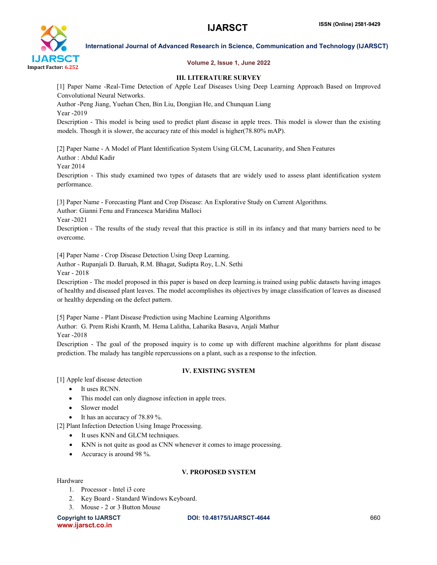

#### Volume 2, Issue 1, June 2022

#### III. LITERATURE SURVEY

[1] Paper Name -Real-Time Detection of Apple Leaf Diseases Using Deep Learning Approach Based on Improved Convolutional Neural Networks.

Author -Peng Jiang, Yuehan Chen, Bin Liu, Dongjian He, and Chunquan Liang Year -2019

Description - This model is being used to predict plant disease in apple trees. This model is slower than the existing models. Though it is slower, the accuracy rate of this model is higher(78.80% mAP).

[2] Paper Name - A Model of Plant Identification System Using GLCM, Lacunarity, and Shen Features Author : Abdul Kadir

Year 2014

Description - This study examined two types of datasets that are widely used to assess plant identification system performance.

[3] Paper Name - Forecasting Plant and Crop Disease: An Explorative Study on Current Algorithms.

Author: Gianni Fenu and Francesca Maridina Malloci

Year -2021

Description - The results of the study reveal that this practice is still in its infancy and that many barriers need to be overcome.

[4] Paper Name - Crop Disease Detection Using Deep Learning.

Author - Rupanjali D. Baruah, R.M. Bhagat, Sudipta Roy, L.N. Sethi

Year - 2018

Description - The model proposed in this paper is based on deep learning.is trained using public datasets having images of healthy and diseased plant leaves. The model accomplishes its objectives by image classification of leaves as diseased or healthy depending on the defect pattern.

[5] Paper Name - Plant Disease Prediction using Machine Learning Algorithms

Author: G. Prem Rishi Kranth, M. Hema Lalitha, Laharika Basava, Anjali Mathur

Year -2018

Description - The goal of the proposed inquiry is to come up with different machine algorithms for plant disease prediction. The malady has tangible repercussions on a plant, such as a response to the infection.

### IV. EXISTING SYSTEM

[1] Apple leaf disease detection

- It uses RCNN.
- This model can only diagnose infection in apple trees.
- Slower model
- It has an accuracy of 78.89 %.

[2] Plant Infection Detection Using Image Processing.

- It uses KNN and GLCM techniques.
- KNN is not quite as good as CNN whenever it comes to image processing.
- Accuracy is around 98 %.

#### V. PROPOSED SYSTEM

#### Hardware

- 1. Processor Intel i3 core
- 2. Key Board Standard Windows Keyboard.
- 3. Mouse 2 or 3 Button Mouse

www.ijarsct.co.in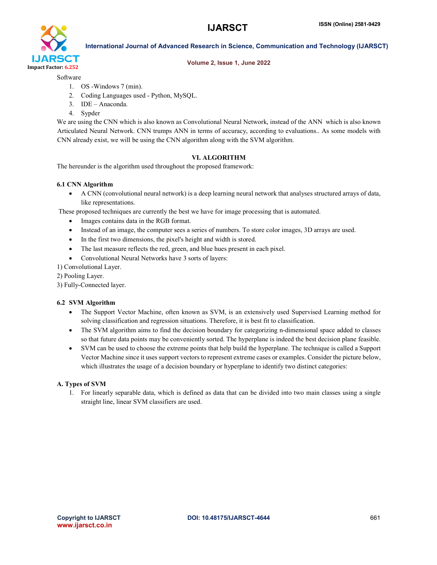

#### Volume 2, Issue 1, June 2022

Software

- 1. OS -Windows 7 (min).
- 2. Coding Languages used Python, MySQL.
- 3. IDE Anaconda.
- 4. Sypder

We are using the CNN which is also known as Convolutional Neural Network, instead of the ANN which is also known Articulated Neural Network. CNN trumps ANN in terms of accuracy, according to evaluations.. As some models with CNN already exist, we will be using the CNN algorithm along with the SVM algorithm.

## VI. ALGORITHM

The hereunder is the algorithm used throughout the proposed framework:

### 6.1 CNN Algorithm

 A CNN (convolutional neural network) is a deep learning neural network that analyses structured arrays of data, like representations.

These proposed techniques are currently the best we have for image processing that is automated.

- Images contains data in the RGB format.
- Instead of an image, the computer sees a series of numbers. To store color images, 3D arrays are used.
- In the first two dimensions, the pixel's height and width is stored.
- The last measure reflects the red, green, and blue hues present in each pixel.
- Convolutional Neural Networks have 3 sorts of layers:
- 1) Convolutional Layer.
- 2) Pooling Layer.
- 3) Fully-Connected layer.

### 6.2 SVM Algorithm

- The Support Vector Machine, often known as SVM, is an extensively used Supervised Learning method for solving classification and regression situations. Therefore, it is best fit to classification.
- The SVM algorithm aims to find the decision boundary for categorizing n-dimensional space added to classes so that future data points may be conveniently sorted. The hyperplane is indeed the best decision plane feasible.
- SVM can be used to choose the extreme points that help build the hyperplane. The technique is called a Support Vector Machine since it uses support vectors to represent extreme cases or examples. Consider the picture below, which illustrates the usage of a decision boundary or hyperplane to identify two distinct categories:

### A. Types of SVM

1. For linearly separable data, which is defined as data that can be divided into two main classes using a single straight line, linear SVM classifiers are used.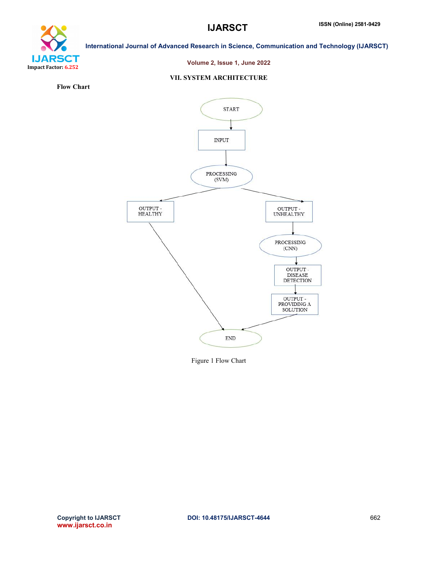

#### Volume 2, Issue 1, June 2022

#### VII. SYSTEM ARCHITECTURE

Flow Chart



Figure 1 Flow Chart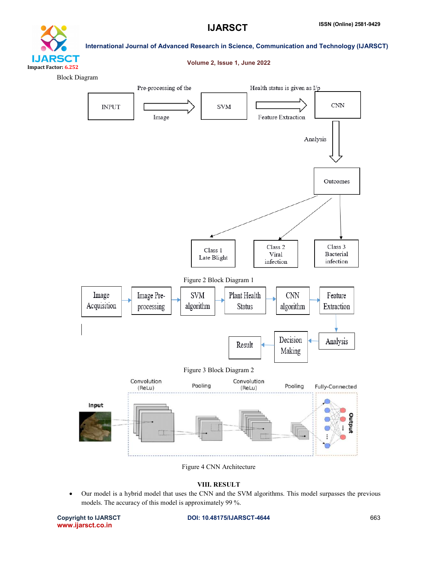

#### Volume 2, Issue 1, June 2022

Block Diagram



Figure 4 CNN Architecture

#### VIII. RESULT

 Our model is a hybrid model that uses the CNN and the SVM algorithms. This model surpasses the previous models. The accuracy of this model is approximately 99 %.

www.ijarsct.co.in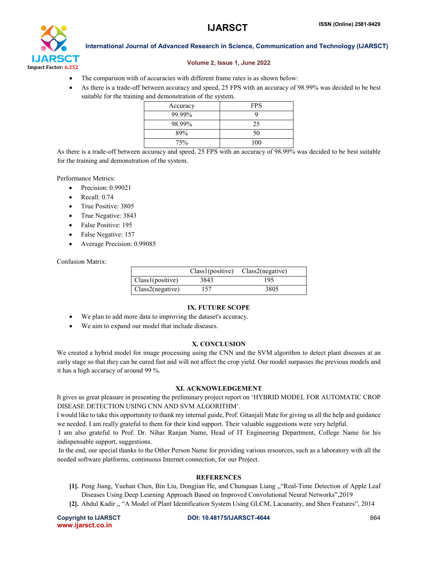# IJARSCT Impact Factor: 6.252

International Journal of Advanced Research in Science, Communication and Technology (IJARSCT)

#### Volume 2, Issue 1, June 2022

- The comparison with of accuracies with different frame rates is as shown below:
- As there is a trade-off between accuracy and speed, 25 FPS with an accuracy of 98.99% was decided to be best suitable for the training and demonstration of the system.

| Accuracy | <b>FPS</b> |
|----------|------------|
| 99.99%   |            |
| 98.99%   | 25         |
| 89%      | 50         |
| 75%      | 100        |

As there is a trade-off between accuracy and speed, 25 FPS with an accuracy of 98.99% was decided to be best suitable for the training and demonstration of the system.

Performance Metrics:

- Precision: 0.99021
- Recall: 0.74
- True Positive: 3805
- True Negative: 3843
- False Positive: 195
- False Negative: 157
- Average Precision: 0.99085

#### Confusion Matrix:

|                          |      | Class1(positive) Class2(negative) |
|--------------------------|------|-----------------------------------|
| $\vert$ Class1(positive) | 3843 | 195                               |
| Class2(negative)         | 157  | 3805                              |

#### IX. FUTURE SCOPE

- We plan to add more data to improving the dataset's accuracy.
- We aim to expand our model that include diseases.

#### X. CONCLUSION

We created a hybrid model for image processing using the CNN and the SVM algorithm to detect plant diseases at an early stage so that they can be cured fast and will not affect the crop yield. Our model surpasses the previous models and it has a high accuracy of around 99 %.

#### XI. ACKNOWLEDGEMENT

It gives us great pleasure in presenting the preliminary project report on 'HYBRID MODEL FOR AUTOMATIC CROP DISEASE DETECTION USING CNN AND SVM ALGORITHM'.

I would like to take this opportunity to thank my internal guide, Prof. Gitanjali Mate for giving us all the help and guidance we needed. I am really grateful to them for their kind support. Their valuable suggestions were very helpful.

I am also grateful to Prof. Dr. Nihar Ranjan Name, Head of IT Engineering Department, College Name for his indispensable support, suggestions.

In the end, our special thanks to the Other Person Name for providing various resources, such as a laboratory with all the needed software platforms, continuous Internet connection, for our Project.

#### **REFERENCES**

- [1]. Peng Jiang, Yuehan Chen, Bin Liu, Dongjian He, and Chunquan Liang ,,"Real-Time Detection of Apple Leaf Diseases Using Deep Learning Approach Based on Improved Convolutional Neural Networks",2019
- [2]. Abdul Kadir ,, "A Model of Plant Identification System Using GLCM, Lacunarity, and Shen Features", 2014

www.ijarsct.co.in

Copyright to IJARSCT **DOI: 10.48175/IJARSCT-4644** 664